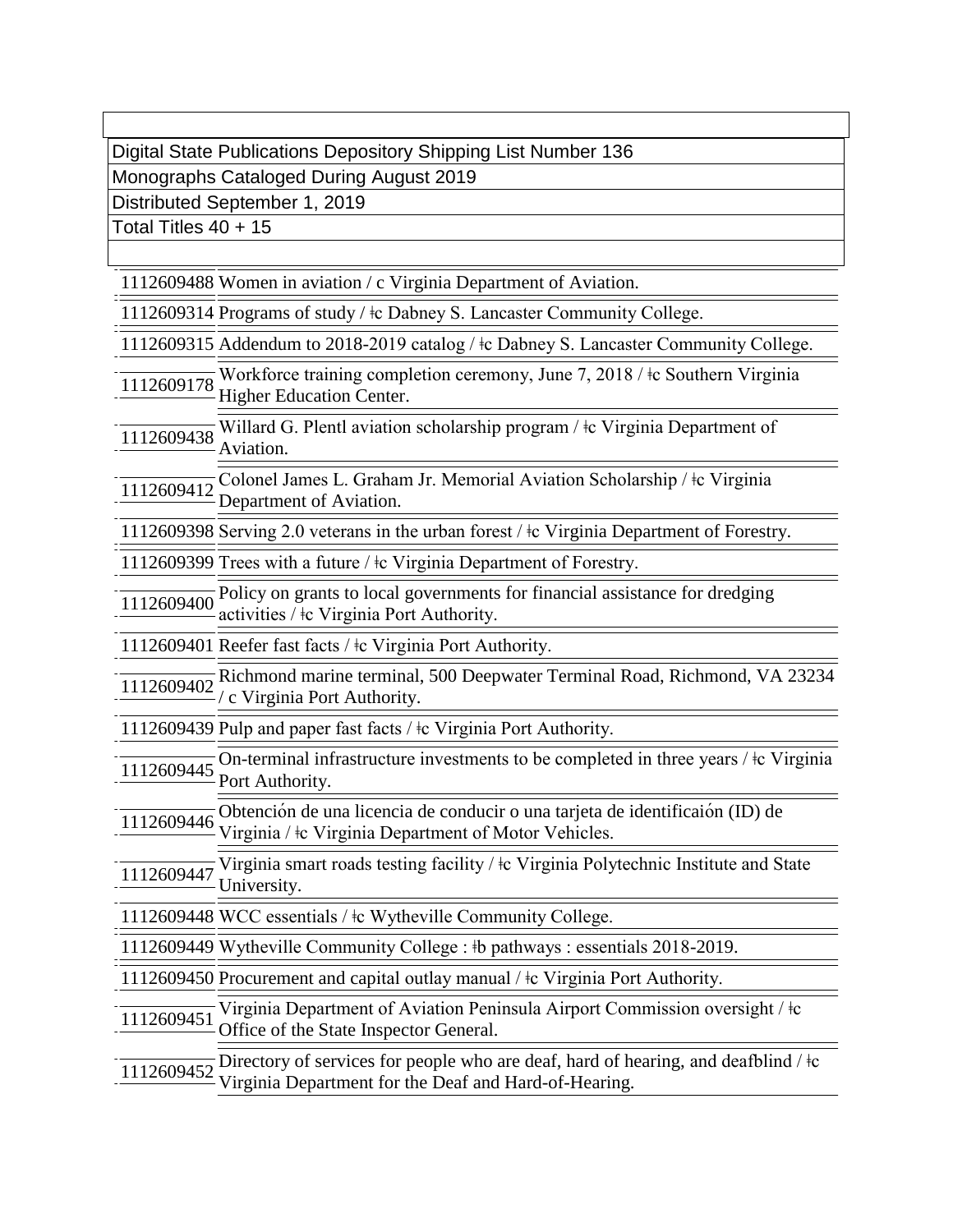Digital State Publications Depository Shipping List Number 136

Monographs Cataloged During August 2019

Distributed September 1, 2019

Total Titles 40 + 15

1112609488 Women in aviation / c Virginia Department of Aviation.

1112609314 Programs of study / ǂc Dabney S. Lancaster Community College.

1112609315 Addendum to 2018-2019 catalog / ǂc Dabney S. Lancaster Community College.

- <sup>1112609178</sup> Workforce training completion ceremony, June 7, 2018 / ǂc Southern Virginia Higher Education Center.
- 1112609438 Willard G. Plentl aviation scholarship program /  $\pm$  Virginia Department of Aviation.

<sup>1112609412</sup> Colonel James L. Graham Jr. Memorial Aviation Scholarship / ǂc Virginia Department of Aviation.

1112609398 Serving 2.0 veterans in the urban forest / ǂc Virginia Department of Forestry.

1112609399 Trees with a future / ǂc Virginia Department of Forestry.

<sup>1112609400</sup> Policy on grants to local governments for financial assistance for dredging activities / ǂc Virginia Port Authority.

1112609401 Reefer fast facts / ǂc Virginia Port Authority.

<sup>1112609402</sup> Richmond marine terminal, 500 Deepwater Terminal Road, Richmond, VA 23234 / c Virginia Port Authority.

1112609439 Pulp and paper fast facts / ǂc Virginia Port Authority.

 $\frac{1112609445}{1112609445}$  On-terminal infrastructure investments to be completed in three years /  $\pm$  Virginia Port Authority.

<sup>1112609446</sup> Obtención de una licencia de conducir o una tarjeta de identificaión (ID) de Virginia / ǂc Virginia Department of Motor Vehicles.

<sup>1112609447</sup> Virginia smart roads testing facility / ǂc Virginia Polytechnic Institute and State University.

1112609448 WCC essentials / ǂc Wytheville Community College.

1112609449 Wytheville Community College : ǂb pathways : essentials 2018-2019.

1112609450 Procurement and capital outlay manual /  $\pm c$  Virginia Port Authority.

<sup>1112609451</sup> Virginia Department of Aviation Peninsula Airport Commission oversight / ǂc Office of the State Inspector General.

 $\frac{1112609452}{1112609452}$  Directory of services for people who are deaf, hard of hearing, and deafblind /  $\pm$ c Virginia Department for the Deaf and Hard-of-Hearing.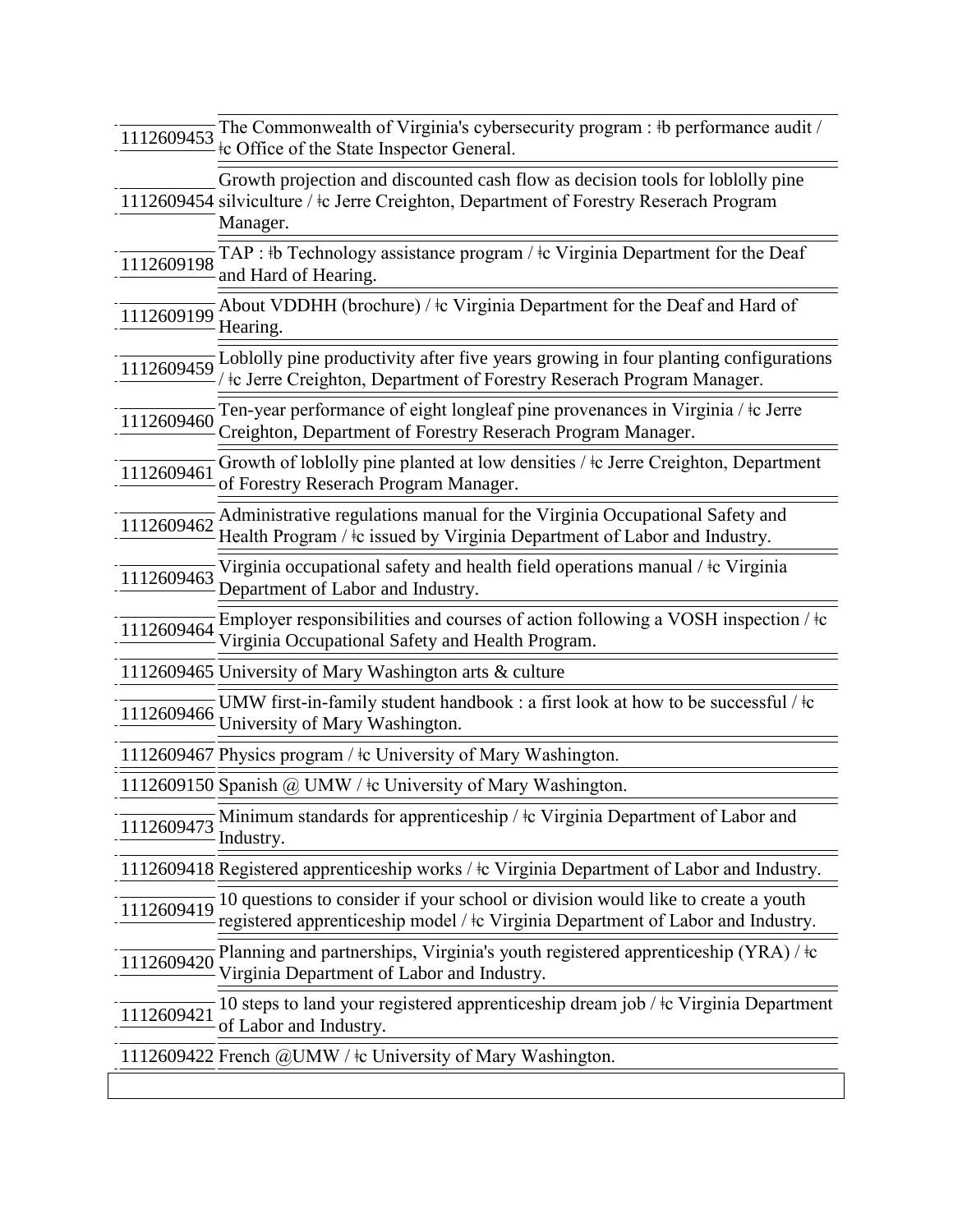| 1112609453 | The Commonwealth of Virginia's cybersecurity program : #b performance audit /<br>te Office of the State Inspector General.                                                          |
|------------|-------------------------------------------------------------------------------------------------------------------------------------------------------------------------------------|
|            | Growth projection and discounted cash flow as decision tools for loblolly pine<br>1112609454 silviculture / ‡c Jerre Creighton, Department of Forestry Reserach Program<br>Manager. |
| 1112609198 | TAP : $\mathbb{E}$ Technology assistance program / $\mathbb{E}$ Virginia Department for the Deaf<br>and Hard of Hearing.                                                            |
| 1112609199 | About VDDHH (brochure) / $\pm c$ Virginia Department for the Deaf and Hard of<br>Hearing.                                                                                           |
| 1112609459 | Loblolly pine productivity after five years growing in four planting configurations<br>te Jerre Creighton, Department of Forestry Reserach Program Manager.                         |
| 1112609460 | Ten-year performance of eight longleaf pine provenances in Virginia / ‡c Jerre<br>Creighton, Department of Forestry Reserach Program Manager.                                       |
| 1112609461 | Growth of loblolly pine planted at low densities / $\pm c$ Jerre Creighton, Department<br>of Forestry Reserach Program Manager.                                                     |
| 1112609462 | Administrative regulations manual for the Virginia Occupational Safety and<br>Health Program / $\pm c$ issued by Virginia Department of Labor and Industry.                         |
| 1112609463 | Virginia occupational safety and health field operations manual / $\pm c$ Virginia<br>Department of Labor and Industry.                                                             |
| 1112609464 | Employer responsibilities and courses of action following a VOSH inspection / $\pm c$<br>Virginia Occupational Safety and Health Program.                                           |
|            | 1112609465 University of Mary Washington arts & culture                                                                                                                             |
| 1112609466 | UMW first-in-family student handbook : a first look at how to be successful / $\frac{1}{2}c$<br>University of Mary Washington.                                                      |
|            | 1112609467 Physics program / ‡c University of Mary Washington.                                                                                                                      |
|            | 1112609150 Spanish @ UMW / $\pm$ c University of Mary Washington.                                                                                                                   |
| 1112609473 | Minimum standards for apprenticeship / $\pm c$ Virginia Department of Labor and<br>Industry.                                                                                        |
|            | 1112609418 Registered apprenticeship works / ‡c Virginia Department of Labor and Industry.                                                                                          |
| 1112609419 | 10 questions to consider if your school or division would like to create a youth<br>registered apprenticeship model / $\pm$ c Virginia Department of Labor and Industry.            |
| 1112609420 | Planning and partnerships, Virginia's youth registered apprenticeship $(YRA)$ / $\pm c$<br>Virginia Department of Labor and Industry.                                               |
| 1112609421 | 10 steps to land your registered apprenticeship dream job / $\pm c$ Virginia Department<br>of Labor and Industry.                                                                   |
|            | 1112609422 French @UMW / ‡c University of Mary Washington.                                                                                                                          |